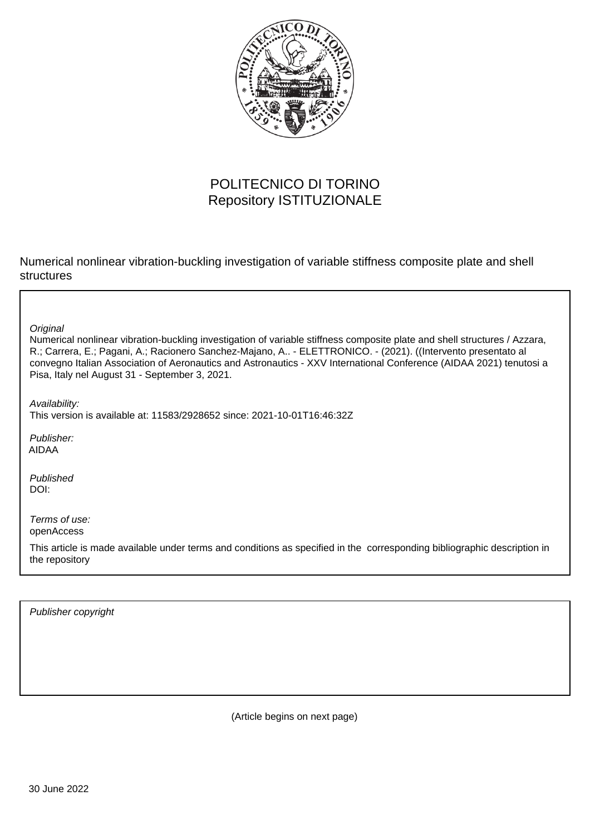

# POLITECNICO DI TORINO Repository ISTITUZIONALE

Numerical nonlinear vibration-buckling investigation of variable stiffness composite plate and shell structures

**Original** 

Numerical nonlinear vibration-buckling investigation of variable stiffness composite plate and shell structures / Azzara, R.; Carrera, E.; Pagani, A.; Racionero Sanchez-Majano, A.. - ELETTRONICO. - (2021). ((Intervento presentato al convegno Italian Association of Aeronautics and Astronautics - XXV International Conference (AIDAA 2021) tenutosi a Pisa, Italy nel August 31 - September 3, 2021.

Availability:

This version is available at: 11583/2928652 since: 2021-10-01T16:46:32Z

Publisher: AIDAA

Published DOI:

Terms of use: openAccess

This article is made available under terms and conditions as specified in the corresponding bibliographic description in the repository

Publisher copyright

(Article begins on next page)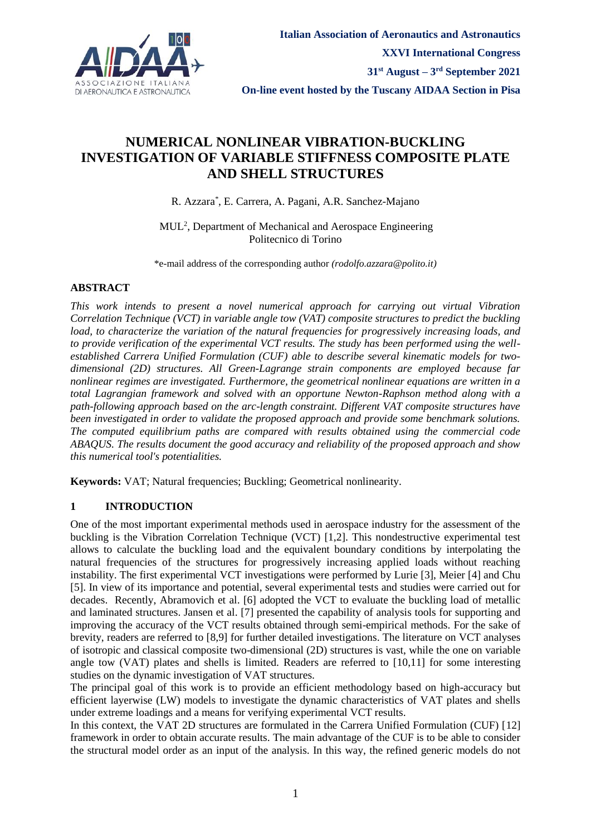

# **NUMERICAL NONLINEAR VIBRATION-BUCKLING INVESTIGATION OF VARIABLE STIFFNESS COMPOSITE PLATE AND SHELL STRUCTURES**

R. Azzara\* , E. Carrera, A. Pagani, A.R. Sanchez-Majano

MUL<sup>2</sup> , Department of Mechanical and Aerospace Engineering Politecnico di Torino

\*e-mail address of the corresponding author *(rodolfo.azzara@polito.it)*

# **ABSTRACT**

*This work intends to present a novel numerical approach for carrying out virtual Vibration Correlation Technique (VCT) in variable angle tow (VAT) composite structures to predict the buckling load, to characterize the variation of the natural frequencies for progressively increasing loads, and to provide verification of the experimental VCT results. The study has been performed using the wellestablished Carrera Unified Formulation (CUF) able to describe several kinematic models for twodimensional (2D) structures. All Green-Lagrange strain components are employed because far nonlinear regimes are investigated. Furthermore, the geometrical nonlinear equations are written in a total Lagrangian framework and solved with an opportune Newton-Raphson method along with a path-following approach based on the arc-length constraint. Different VAT composite structures have been investigated in order to validate the proposed approach and provide some benchmark solutions. The computed equilibrium paths are compared with results obtained using the commercial code ABAQUS. The results document the good accuracy and reliability of the proposed approach and show this numerical tool's potentialities.*

**Keywords:** VAT; Natural frequencies; Buckling; Geometrical nonlinearity.

## **1 INTRODUCTION**

One of the most important experimental methods used in aerospace industry for the assessment of the buckling is the Vibration Correlation Technique (VCT) [1,2]. This nondestructive experimental test allows to calculate the buckling load and the equivalent boundary conditions by interpolating the natural frequencies of the structures for progressively increasing applied loads without reaching instability. The first experimental VCT investigations were performed by Lurie [3], Meier [4] and Chu [5]. In view of its importance and potential, several experimental tests and studies were carried out for decades. Recently, Abramovich et al. [6] adopted the VCT to evaluate the buckling load of metallic and laminated structures. Jansen et al. [7] presented the capability of analysis tools for supporting and improving the accuracy of the VCT results obtained through semi-empirical methods. For the sake of brevity, readers are referred to [8,9] for further detailed investigations. The literature on VCT analyses of isotropic and classical composite two-dimensional (2D) structures is vast, while the one on variable angle tow (VAT) plates and shells is limited. Readers are referred to [10,11] for some interesting studies on the dynamic investigation of VAT structures.

The principal goal of this work is to provide an efficient methodology based on high-accuracy but efficient layerwise (LW) models to investigate the dynamic characteristics of VAT plates and shells under extreme loadings and a means for verifying experimental VCT results.

In this context, the VAT 2D structures are formulated in the Carrera Unified Formulation (CUF) [12] framework in order to obtain accurate results. The main advantage of the CUF is to be able to consider the structural model order as an input of the analysis. In this way, the refined generic models do not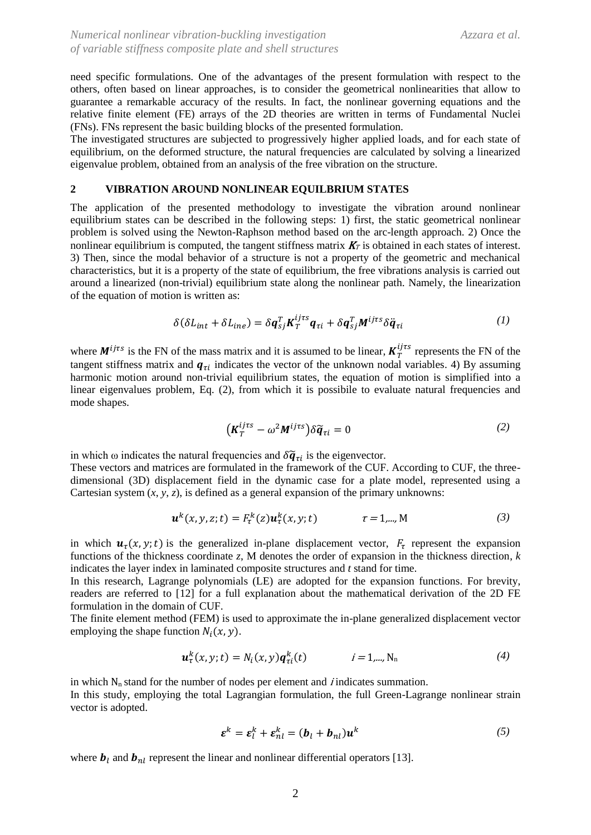need specific formulations. One of the advantages of the present formulation with respect to the others, often based on linear approaches, is to consider the geometrical nonlinearities that allow to guarantee a remarkable accuracy of the results. In fact, the nonlinear governing equations and the relative finite element (FE) arrays of the 2D theories are written in terms of Fundamental Nuclei (FNs). FNs represent the basic building blocks of the presented formulation.

The investigated structures are subjected to progressively higher applied loads, and for each state of equilibrium, on the deformed structure, the natural frequencies are calculated by solving a linearized eigenvalue problem, obtained from an analysis of the free vibration on the structure.

### **2 VIBRATION AROUND NONLINEAR EQUILBRIUM STATES**

The application of the presented methodology to investigate the vibration around nonlinear equilibrium states can be described in the following steps: 1) first, the static geometrical nonlinear problem is solved using the Newton-Raphson method based on the arc-length approach. 2) Once the nonlinear equilibrium is computed, the tangent stiffness matrix  $K_T$  is obtained in each states of interest. 3) Then, since the modal behavior of a structure is not a property of the geometric and mechanical characteristics, but it is a property of the state of equilibrium, the free vibrations analysis is carried out around a linearized (non-trivial) equilibrium state along the nonlinear path. Namely, the linearization of the equation of motion is written as:

$$
\delta(\delta L_{int} + \delta L_{ine}) = \delta \mathbf{q}_{sj}^T \mathbf{K}_T^{ijrs} \mathbf{q}_{ri} + \delta \mathbf{q}_{sj}^T \mathbf{M}^{ijrs} \delta \ddot{\mathbf{q}}_{ri}
$$
 (1)

where  $M^{ijrs}$  is the FN of the mass matrix and it is assumed to be linear,  $K_T^{ijrs}$  represents the FN of the tangent stiffness matrix and  $q_{\tau i}$  indicates the vector of the unknown nodal variables. 4) By assuming harmonic motion around non-trivial equilibrium states, the equation of motion is simplified into a linear eigenvalues problem, Eq. (2), from which it is possibile to evaluate natural frequencies and mode shapes.

$$
\left(\mathbf{K}_T^{ij\tau s} - \omega^2 \mathbf{M}^{ij\tau s}\right) \delta \widetilde{\mathbf{q}}_{\tau i} = 0 \tag{2}
$$

in which  $\omega$  indicates the natural frequencies and  $\delta \tilde{q}_{\tau i}$  is the eigenvector.

These vectors and matrices are formulated in the framework of the CUF. According to CUF, the threedimensional (3D) displacement field in the dynamic case for a plate model, represented using a Cartesian system  $(x, y, z)$ , is defined as a general expansion of the primary unknowns:

$$
\mathbf{u}^{k}(x, y, z; t) = F_{\tau}^{k}(z) \mathbf{u}_{\tau}^{k}(x, y; t) \qquad \tau = 1, \ldots, M \qquad (3)
$$

in which  $u_{\tau}(x, y; t)$  is the generalized in-plane displacement vector,  $F_{\tau}$  represent the expansion functions of the thickness coordinate *z*, M denotes the order of expansion in the thickness direction, *k* indicates the layer index in laminated composite structures and *t* stand for time.

In this research, Lagrange polynomials (LE) are adopted for the expansion functions. For brevity, readers are referred to [12] for a full explanation about the mathematical derivation of the 2D FE formulation in the domain of CUF.

The finite element method (FEM) is used to approximate the in-plane generalized displacement vector employing the shape function  $N_i(x, y)$ .

$$
\mathbf{u}_\tau^k(x, y; t) = N_i(x, y) \mathbf{q}_{\tau i}^k(t) \qquad i = 1, \dots, N_n \tag{4}
$$

in which  $N_n$  stand for the number of nodes per element and *i* indicates summation. In this study, employing the total Lagrangian formulation, the full Green-Lagrange nonlinear strain vector is adopted.

$$
\boldsymbol{\varepsilon}^k = \boldsymbol{\varepsilon}_l^k + \boldsymbol{\varepsilon}_{nl}^k = (\boldsymbol{b}_l + \boldsymbol{b}_{nl})\boldsymbol{u}^k
$$
 (5)

where  $\mathbf{b}_l$  and  $\mathbf{b}_{nl}$  represent the linear and nonlinear differential operators [13].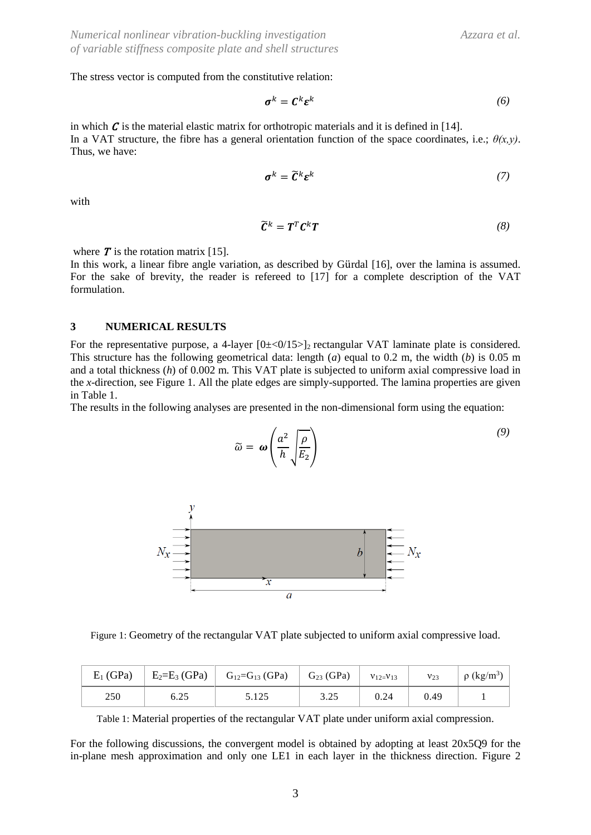*(9)*

The stress vector is computed from the constitutive relation:

$$
\sigma^k = \mathbf{C}^k \mathbf{\varepsilon}^k \tag{6}
$$

in which  $\mathcal C$  is the material elastic matrix for orthotropic materials and it is defined in [14]. In a VAT structure, the fibre has a general orientation function of the space coordinates, i.e.;  $\theta(x,y)$ . Thus, we have:

$$
\boldsymbol{\sigma}^k = \widetilde{\mathbf{C}}^k \boldsymbol{\varepsilon}^k \tag{7}
$$

with

$$
\widetilde{\mathbf{C}}^k = \mathbf{T}^T \mathbf{C}^k \mathbf{T} \tag{8}
$$

where  $T$  is the rotation matrix [15].

In this work, a linear fibre angle variation, as described by Gürdal [16], over the lamina is assumed. For the sake of brevity, the reader is refereed to [17] for a complete description of the VAT formulation.

#### **3 NUMERICAL RESULTS**

For the representative purpose, a 4-layer  $[0\pm\langle 0/15 \rangle]_2$  rectangular VAT laminate plate is considered. This structure has the following geometrical data: length (*a*) equal to 0.2 m, the width (*b*) is 0.05 m and a total thickness (*h*) of 0.002 m. This VAT plate is subjected to uniform axial compressive load in the *x*-direction, see Figure 1. All the plate edges are simply-supported. The lamina properties are given in Table 1.

The results in the following analyses are presented in the non-dimensional form using the equation:

 $(2.5)$ 

$$
\widetilde{\omega} = \omega \left( \frac{a^2}{h} \sqrt{\frac{\rho}{E_2}} \right)
$$
\n
$$
N_x \frac{\overrightarrow{y}}{\overrightarrow{y}}
$$
\n
$$
N_x \frac{\overrightarrow{y}}{\overrightarrow{y}}
$$
\n
$$
N_x \frac{\overrightarrow{y}}{\overrightarrow{y}}
$$
\n
$$
N_x \frac{\overrightarrow{y}}{\overrightarrow{y}}
$$

Figure 1: Geometry of the rectangular VAT plate subjected to uniform axial compressive load.

| $E_1$ (GPa) | $E_2=E_3(GPa)$ | $\Big $ G <sub>12</sub> =G <sub>13</sub> (GPa) | $G_{23}$ (GPa) | $V_12 = V_13$ | $v_{23}$ | $\rho$ (kg/m <sup>3</sup> ) |
|-------------|----------------|------------------------------------------------|----------------|---------------|----------|-----------------------------|
| 250         | 6.25           | 5.125                                          | 3.25           | 0.24          | 0.49     |                             |

Table 1: Material properties of the rectangular VAT plate under uniform axial compression.

For the following discussions, the convergent model is obtained by adopting at least 20x5Q9 for the in-plane mesh approximation and only one LE1 in each layer in the thickness direction. Figure 2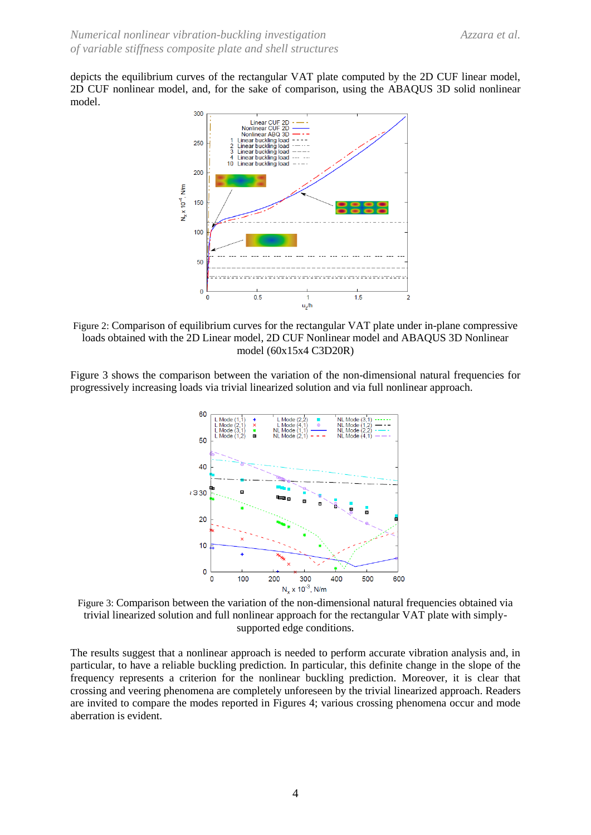depicts the equilibrium curves of the rectangular VAT plate computed by the 2D CUF linear model, 2D CUF nonlinear model, and, for the sake of comparison, using the ABAQUS 3D solid nonlinear model.



Figure 2: Comparison of equilibrium curves for the rectangular VAT plate under in-plane compressive loads obtained with the 2D Linear model, 2D CUF Nonlinear model and ABAQUS 3D Nonlinear model (60x15x4 C3D20R)

Figure 3 shows the comparison between the variation of the non-dimensional natural frequencies for progressively increasing loads via trivial linearized solution and via full nonlinear approach.



Figure 3: Comparison between the variation of the non-dimensional natural frequencies obtained via trivial linearized solution and full nonlinear approach for the rectangular VAT plate with simplysupported edge conditions.

The results suggest that a nonlinear approach is needed to perform accurate vibration analysis and, in particular, to have a reliable buckling prediction. In particular, this definite change in the slope of the frequency represents a criterion for the nonlinear buckling prediction. Moreover, it is clear that crossing and veering phenomena are completely unforeseen by the trivial linearized approach. Readers are invited to compare the modes reported in Figures 4; various crossing phenomena occur and mode aberration is evident.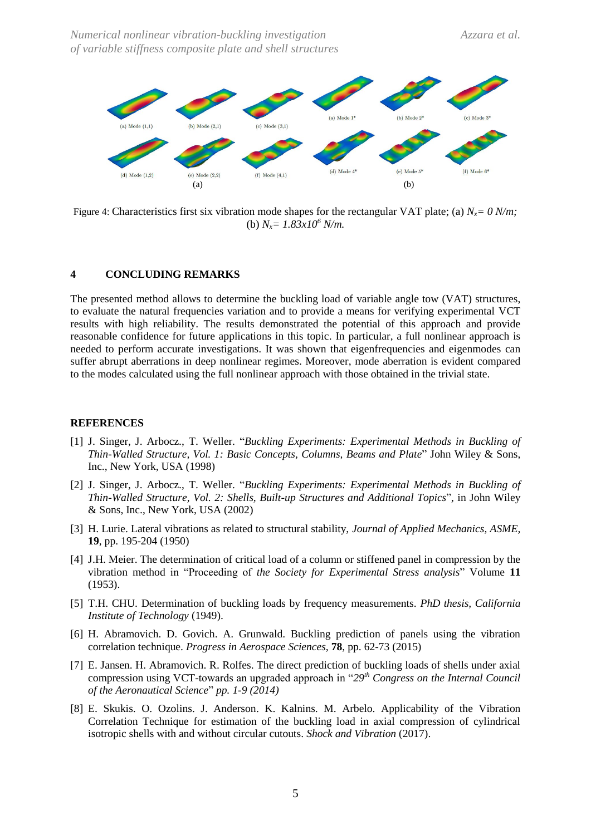

Figure 4: Characteristics first six vibration mode shapes for the rectangular VAT plate; (a) *Nx= 0 N/m;*  (b)  $N_x = 1.83 \times 10^6$  *N/m.* 

#### **4 CONCLUDING REMARKS**

The presented method allows to determine the buckling load of variable angle tow (VAT) structures, to evaluate the natural frequencies variation and to provide a means for verifying experimental VCT results with high reliability. The results demonstrated the potential of this approach and provide reasonable confidence for future applications in this topic. In particular, a full nonlinear approach is needed to perform accurate investigations. It was shown that eigenfrequencies and eigenmodes can suffer abrupt aberrations in deep nonlinear regimes. Moreover, mode aberration is evident compared to the modes calculated using the full nonlinear approach with those obtained in the trivial state.

#### **REFERENCES**

- [1] J. Singer, J. Arbocz., T. Weller. "*Buckling Experiments: Experimental Methods in Buckling of Thin-Walled Structure, Vol. 1: Basic Concepts, Columns, Beams and Plate*" John Wiley & Sons, Inc., New York, USA (1998)
- [2] J. Singer, J. Arbocz., T. Weller. "*Buckling Experiments: Experimental Methods in Buckling of Thin-Walled Structure, Vol. 2: Shells, Built-up Structures and Additional Topics*"*,* in John Wiley & Sons, Inc., New York, USA (2002)
- [3] H. Lurie. Lateral vibrations as related to structural stability, *Journal of Applied Mechanics, ASME,*  **19**, pp. 195-204 (1950)
- [4] J.H. Meier. The determination of critical load of a column or stiffened panel in compression by the vibration method in "Proceeding of *the Society for Experimental Stress analysis*" Volume **11** (1953).
- [5] T.H. CHU. Determination of buckling loads by frequency measurements. *PhD thesis, California Institute of Technology* (1949).
- [6] H. Abramovich. D. Govich. A. Grunwald. Buckling prediction of panels using the vibration correlation technique. *Progress in Aerospace Sciences,* **78**, pp. 62-73 (2015)
- [7] E. Jansen. H. Abramovich. R. Rolfes. The direct prediction of buckling loads of shells under axial compression using VCT-towards an upgraded approach in "*29th Congress on the Internal Council of the Aeronautical Science*" *pp. 1-9 (2014)*
- [8] E. Skukis. O. Ozolins. J. Anderson. K. Kalnins. M. Arbelo. Applicability of the Vibration Correlation Technique for estimation of the buckling load in axial compression of cylindrical isotropic shells with and without circular cutouts. *Shock and Vibration* (2017).